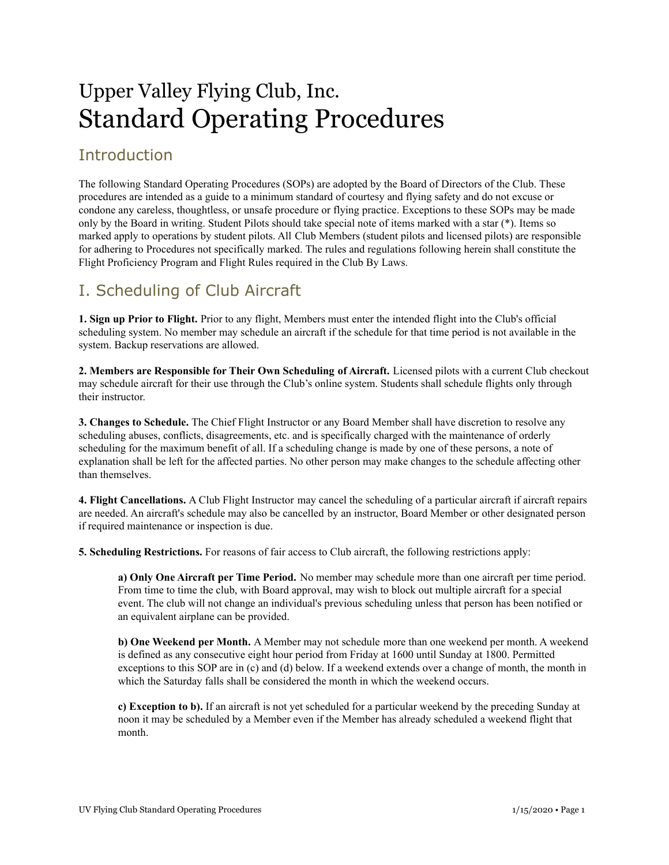# Upper Valley Flying Club, Inc. Standard Operating Procedures

### **Introduction**

The following Standard Operating Procedures (SOPs) are adopted by the Board of Directors of the Club. These procedures are intended as a guide to a minimum standard of courtesy and flying safety and do not excuse or condone any careless, thoughtless, or unsafe procedure or flying practice. Exceptions to these SOPs may be made only by the Board in writing. Student Pilots should take special note of items marked with a star (\*). Items so marked apply to operations by student pilots. All Club Members (student pilots and licensed pilots) are responsible for adhering to Procedures not specifically marked. The rules and regulations following herein shall constitute the Flight Proficiency Program and Flight Rules required in the Club By Laws.

### I. Scheduling of Club Aircraft

**1. Sign up Prior to Flight.** Prior to any flight, Members must enter the intended flight into the Club's official scheduling system. No member may schedule an aircraft if the schedule for that time period is not available in the system. Backup reservations are allowed.

**2. Members are Responsible for Their Own Scheduling of Aircraft.** Licensed pilots with a current Club checkout may schedule aircraft for their use through the Club's online system. Students shall schedule flights only through their instructor.

**3. Changes to Schedule.** The Chief Flight Instructor or any Board Member shall have discretion to resolve any scheduling abuses, conflicts, disagreements, etc. and is specifically charged with the maintenance of orderly scheduling for the maximum benefit of all. If a scheduling change is made by one of these persons, a note of explanation shall be left for the affected parties. No other person may make changes to the schedule affecting other than themselves.

**4. Flight Cancellations.** A Club Flight Instructor may cancel the scheduling of a particular aircraft if aircraft repairs are needed. An aircraft's schedule may also be cancelled by an instructor, Board Member or other designated person if required maintenance or inspection is due.

**5. Scheduling Restrictions.** For reasons of fair access to Club aircraft, the following restrictions apply:

**a) Only One Aircraft per Time Period.** No member may schedule more than one aircraft per time period. From time to time the club, with Board approval, may wish to block out multiple aircraft for a special event. The club will not change an individual's previous scheduling unless that person has been notified or an equivalent airplane can be provided.

**b) One Weekend per Month.** A Member may not schedule more than one weekend per month. A weekend is defined as any consecutive eight hour period from Friday at 1600 until Sunday at 1800. Permitted exceptions to this SOP are in (c) and (d) below. If a weekend extends over a change of month, the month in which the Saturday falls shall be considered the month in which the weekend occurs.

**c) Exception to b).** If an aircraft is not yet scheduled for a particular weekend by the preceding Sunday at noon it may be scheduled by a Member even if the Member has already scheduled a weekend flight that month.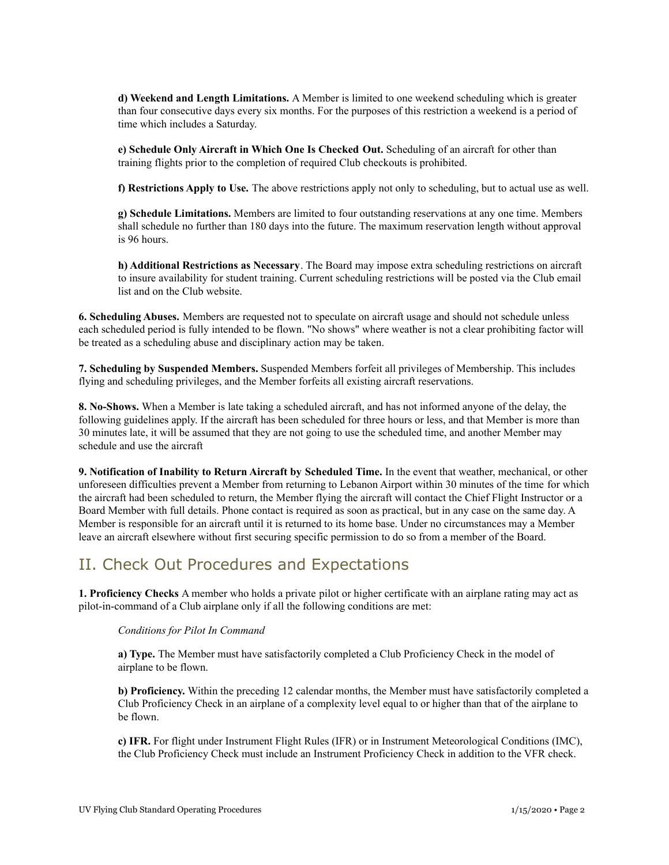**d) Weekend and Length Limitations.** A Member is limited to one weekend scheduling which is greater than four consecutive days every six months. For the purposes of this restriction a weekend is a period of time which includes a Saturday.

**e) Schedule Only Aircraft in Which One Is Checked Out.** Scheduling of an aircraft for other than training flights prior to the completion of required Club checkouts is prohibited.

**f) Restrictions Apply to Use.** The above restrictions apply not only to scheduling, but to actual use as well.

**g) Schedule Limitations.** Members are limited to four outstanding reservations at any one time. Members shall schedule no further than 180 days into the future. The maximum reservation length without approval is 96 hours.

**h) Additional Restrictions as Necessary**. The Board may impose extra scheduling restrictions on aircraft to insure availability for student training. Current scheduling restrictions will be posted via the Club email list and on the Club website.

**6. Scheduling Abuses.** Members are requested not to speculate on aircraft usage and should not schedule unless each scheduled period is fully intended to be flown. "No shows" where weather is not a clear prohibiting factor will be treated as a scheduling abuse and disciplinary action may be taken.

**7. Scheduling by Suspended Members.** Suspended Members forfeit all privileges of Membership. This includes flying and scheduling privileges, and the Member forfeits all existing aircraft reservations.

**8. No-Shows.** When a Member is late taking a scheduled aircraft, and has not informed anyone of the delay, the following guidelines apply. If the aircraft has been scheduled for three hours or less, and that Member is more than 30 minutes late, it will be assumed that they are not going to use the scheduled time, and another Member may schedule and use the aircraft

**9. Notification of Inability to Return Aircraft by Scheduled Time.** In the event that weather, mechanical, or other unforeseen difficulties prevent a Member from returning to Lebanon Airport within 30 minutes of the time for which the aircraft had been scheduled to return, the Member flying the aircraft will contact the Chief Flight Instructor or a Board Member with full details. Phone contact is required as soon as practical, but in any case on the same day. A Member is responsible for an aircraft until it is returned to its home base. Under no circumstances may a Member leave an aircraft elsewhere without first securing specific permission to do so from a member of the Board.

### II. Check Out Procedures and Expectations

**1. Proficiency Checks** A member who holds a private pilot or higher certificate with an airplane rating may act as pilot-in-command of a Club airplane only if all the following conditions are met:

#### *Conditions for Pilot In Command*

**a) Type.** The Member must have satisfactorily completed a Club Proficiency Check in the model of airplane to be flown.

**b) Proficiency.** Within the preceding 12 calendar months, the Member must have satisfactorily completed a Club Proficiency Check in an airplane of a complexity level equal to or higher than that of the airplane to be flown.

**c) IFR.** For flight under Instrument Flight Rules (IFR) or in Instrument Meteorological Conditions (IMC), the Club Proficiency Check must include an Instrument Proficiency Check in addition to the VFR check.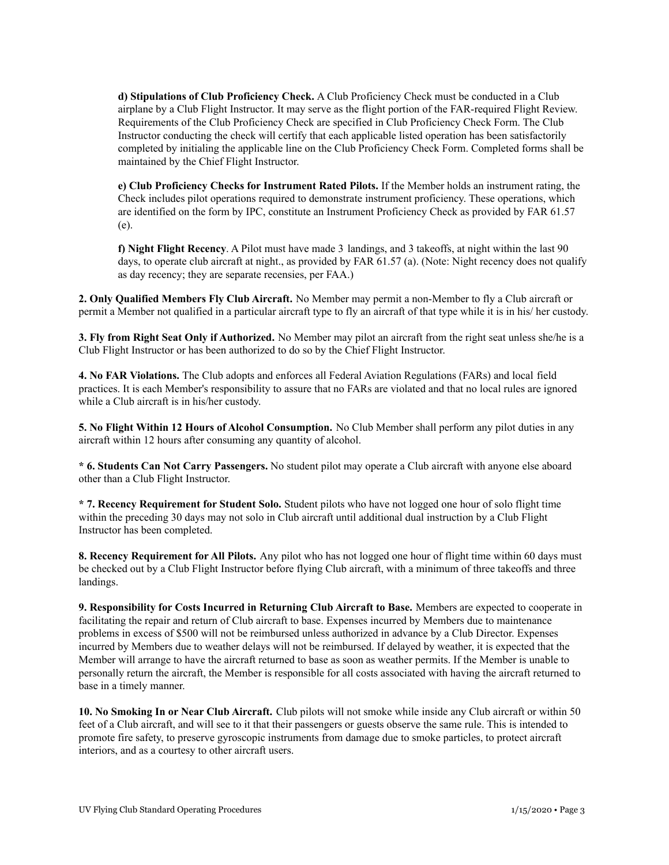**d) Stipulations of Club Proficiency Check.** A Club Proficiency Check must be conducted in a Club airplane by a Club Flight Instructor. It may serve as the flight portion of the FAR-required Flight Review. Requirements of the Club Proficiency Check are specified in Club Proficiency Check Form. The Club Instructor conducting the check will certify that each applicable listed operation has been satisfactorily completed by initialing the applicable line on the Club Proficiency Check Form. Completed forms shall be maintained by the Chief Flight Instructor.

**e) Club Proficiency Checks for Instrument Rated Pilots.** If the Member holds an instrument rating, the Check includes pilot operations required to demonstrate instrument proficiency. These operations, which are identified on the form by IPC, constitute an Instrument Proficiency Check as provided by FAR 61.57 (e).

**f) Night Flight Recency**. A Pilot must have made 3 landings, and 3 takeoffs, at night within the last 90 days, to operate club aircraft at night., as provided by FAR 61.57 (a). (Note: Night recency does not qualify as day recency; they are separate recensies, per FAA.)

**2. Only Qualified Members Fly Club Aircraft.** No Member may permit a non-Member to fly a Club aircraft or permit a Member not qualified in a particular aircraft type to fly an aircraft of that type while it is in his/ her custody.

**3. Fly from Right Seat Only if Authorized.** No Member may pilot an aircraft from the right seat unless she/he is a Club Flight Instructor or has been authorized to do so by the Chief Flight Instructor.

**4. No FAR Violations.** The Club adopts and enforces all Federal Aviation Regulations (FARs) and local field practices. It is each Member's responsibility to assure that no FARs are violated and that no local rules are ignored while a Club aircraft is in his/her custody.

**5. No Flight Within 12 Hours of Alcohol Consumption.** No Club Member shall perform any pilot duties in any aircraft within 12 hours after consuming any quantity of alcohol.

**\* 6. Students Can Not Carry Passengers.** No student pilot may operate a Club aircraft with anyone else aboard other than a Club Flight Instructor.

**\* 7. Recency Requirement for Student Solo.** Student pilots who have not logged one hour of solo flight time within the preceding 30 days may not solo in Club aircraft until additional dual instruction by a Club Flight Instructor has been completed.

**8. Recency Requirement for All Pilots.** Any pilot who has not logged one hour of flight time within 60 days must be checked out by a Club Flight Instructor before flying Club aircraft, with a minimum of three takeoffs and three landings.

**9. Responsibility for Costs Incurred in Returning Club Aircraft to Base.** Members are expected to cooperate in facilitating the repair and return of Club aircraft to base. Expenses incurred by Members due to maintenance problems in excess of \$500 will not be reimbursed unless authorized in advance by a Club Director. Expenses incurred by Members due to weather delays will not be reimbursed. If delayed by weather, it is expected that the Member will arrange to have the aircraft returned to base as soon as weather permits. If the Member is unable to personally return the aircraft, the Member is responsible for all costs associated with having the aircraft returned to base in a timely manner.

**10. No Smoking In or Near Club Aircraft.** Club pilots will not smoke while inside any Club aircraft or within 50 feet of a Club aircraft, and will see to it that their passengers or guests observe the same rule. This is intended to promote fire safety, to preserve gyroscopic instruments from damage due to smoke particles, to protect aircraft interiors, and as a courtesy to other aircraft users.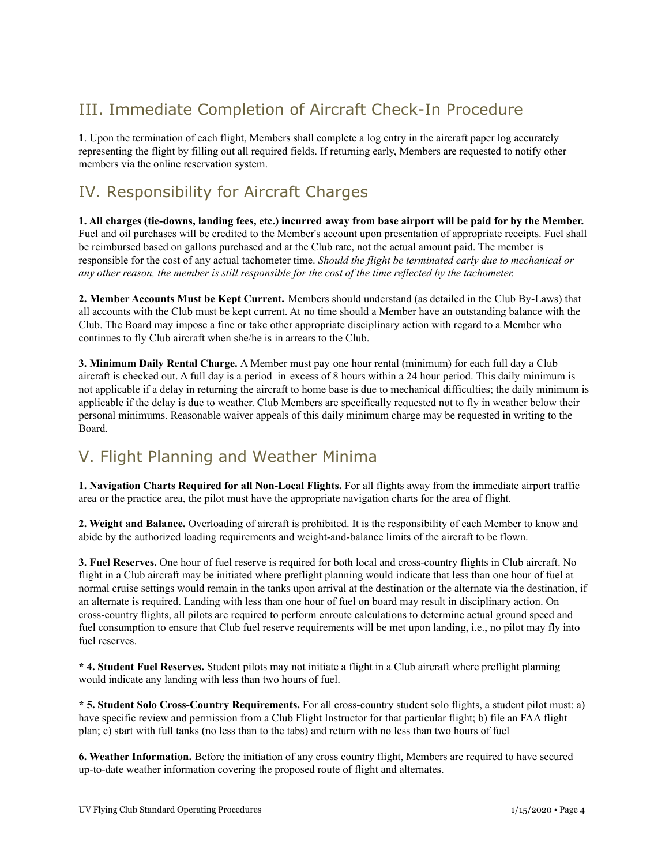# III. Immediate Completion of Aircraft Check-In Procedure

**1**. Upon the termination of each flight, Members shall complete a log entry in the aircraft paper log accurately representing the flight by filling out all required fields. If returning early, Members are requested to notify other members via the online reservation system.

# IV. Responsibility for Aircraft Charges

1. All charges (tie-downs, landing fees, etc.) incurred away from base airport will be paid for by the Member. Fuel and oil purchases will be credited to the Member's account upon presentation of appropriate receipts. Fuel shall be reimbursed based on gallons purchased and at the Club rate, not the actual amount paid. The member is responsible for the cost of any actual tachometer time. *Should the flight be terminated early due to mechanical or* any other reason, the member is still responsible for the cost of the time reflected by the tachometer.

**2. Member Accounts Must be Kept Current.** Members should understand (as detailed in the Club By-Laws) that all accounts with the Club must be kept current. At no time should a Member have an outstanding balance with the Club. The Board may impose a fine or take other appropriate disciplinary action with regard to a Member who continues to fly Club aircraft when she/he is in arrears to the Club.

**3. Minimum Daily Rental Charge.** A Member must pay one hour rental (minimum) for each full day a Club aircraft is checked out. A full day is a period in excess of 8 hours within a 24 hour period. This daily minimum is not applicable if a delay in returning the aircraft to home base is due to mechanical difficulties; the daily minimum is applicable if the delay is due to weather. Club Members are specifically requested not to fly in weather below their personal minimums. Reasonable waiver appeals of this daily minimum charge may be requested in writing to the Board.

# V. Flight Planning and Weather Minima

**1. Navigation Charts Required for all Non-Local Flights.** For all flights away from the immediate airport traffic area or the practice area, the pilot must have the appropriate navigation charts for the area of flight.

**2. Weight and Balance.** Overloading of aircraft is prohibited. It is the responsibility of each Member to know and abide by the authorized loading requirements and weight-and-balance limits of the aircraft to be flown.

**3. Fuel Reserves.** One hour of fuel reserve is required for both local and cross-country flights in Club aircraft. No flight in a Club aircraft may be initiated where preflight planning would indicate that less than one hour of fuel at normal cruise settings would remain in the tanks upon arrival at the destination or the alternate via the destination, if an alternate is required. Landing with less than one hour of fuel on board may result in disciplinary action. On cross-country flights, all pilots are required to perform enroute calculations to determine actual ground speed and fuel consumption to ensure that Club fuel reserve requirements will be met upon landing, i.e., no pilot may fly into fuel reserves.

**\* 4. Student Fuel Reserves.** Student pilots may not initiate a flight in a Club aircraft where preflight planning would indicate any landing with less than two hours of fuel.

**\* 5. Student Solo Cross-Country Requirements.** For all cross-country student solo flights, a student pilot must: a) have specific review and permission from a Club Flight Instructor for that particular flight; b) file an FAA flight plan; c) start with full tanks (no less than to the tabs) and return with no less than two hours of fuel

**6. Weather Information.** Before the initiation of any cross country flight, Members are required to have secured up-to-date weather information covering the proposed route of flight and alternates.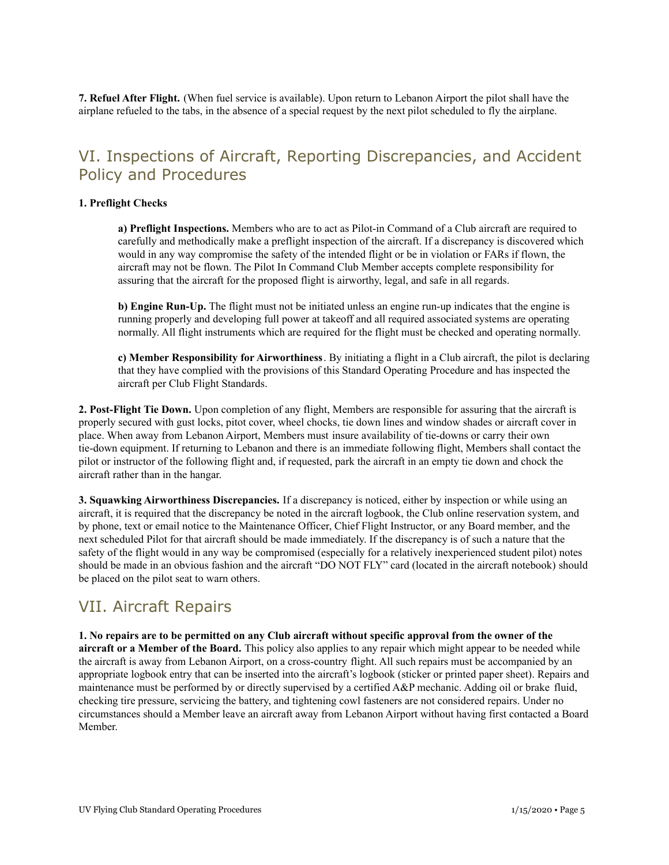**7. Refuel After Flight.** (When fuel service is available). Upon return to Lebanon Airport the pilot shall have the airplane refueled to the tabs, in the absence of a special request by the next pilot scheduled to fly the airplane.

### VI. Inspections of Aircraft, Reporting Discrepancies, and Accident Policy and Procedures

#### **1. Preflight Checks**

**a) Preflight Inspections.** Members who are to act as Pilot-in Command of a Club aircraft are required to carefully and methodically make a preflight inspection of the aircraft. If a discrepancy is discovered which would in any way compromise the safety of the intended flight or be in violation or FARs if flown, the aircraft may not be flown. The Pilot In Command Club Member accepts complete responsibility for assuring that the aircraft for the proposed flight is airworthy, legal, and safe in all regards.

**b) Engine Run-Up.** The flight must not be initiated unless an engine run-up indicates that the engine is running properly and developing full power at takeoff and all required associated systems are operating normally. All flight instruments which are required for the flight must be checked and operating normally.

**c) Member Responsibility for Airworthiness**. By initiating a flight in a Club aircraft, the pilot is declaring that they have complied with the provisions of this Standard Operating Procedure and has inspected the aircraft per Club Flight Standards.

**2. Post-Flight Tie Down.** Upon completion of any flight, Members are responsible for assuring that the aircraft is properly secured with gust locks, pitot cover, wheel chocks, tie down lines and window shades or aircraft cover in place. When away from Lebanon Airport, Members must insure availability of tie-downs or carry their own tie-down equipment. If returning to Lebanon and there is an immediate following flight, Members shall contact the pilot or instructor of the following flight and, if requested, park the aircraft in an empty tie down and chock the aircraft rather than in the hangar.

**3. Squawking Airworthiness Discrepancies.** If a discrepancy is noticed, either by inspection or while using an aircraft, it is required that the discrepancy be noted in the aircraft logbook, the Club online reservation system, and by phone, text or email notice to the Maintenance Officer, Chief Flight Instructor, or any Board member, and the next scheduled Pilot for that aircraft should be made immediately. If the discrepancy is of such a nature that the safety of the flight would in any way be compromised (especially for a relatively inexperienced student pilot) notes should be made in an obvious fashion and the aircraft "DO NOT FLY" card (located in the aircraft notebook) should be placed on the pilot seat to warn others.

### VII. Aircraft Repairs

1. No repairs are to be permitted on any Club aircraft without specific approval from the owner of the **aircraft or a Member of the Board.** This policy also applies to any repair which might appear to be needed while the aircraft is away from Lebanon Airport, on a cross-country flight. All such repairs must be accompanied by an appropriate logbook entry that can be inserted into the aircraft's logbook (sticker or printed paper sheet). Repairs and maintenance must be performed by or directly supervised by a certified A&P mechanic. Adding oil or brake fluid, checking tire pressure, servicing the battery, and tightening cowl fasteners are not considered repairs. Under no circumstances should a Member leave an aircraft away from Lebanon Airport without having first contacted a Board Member.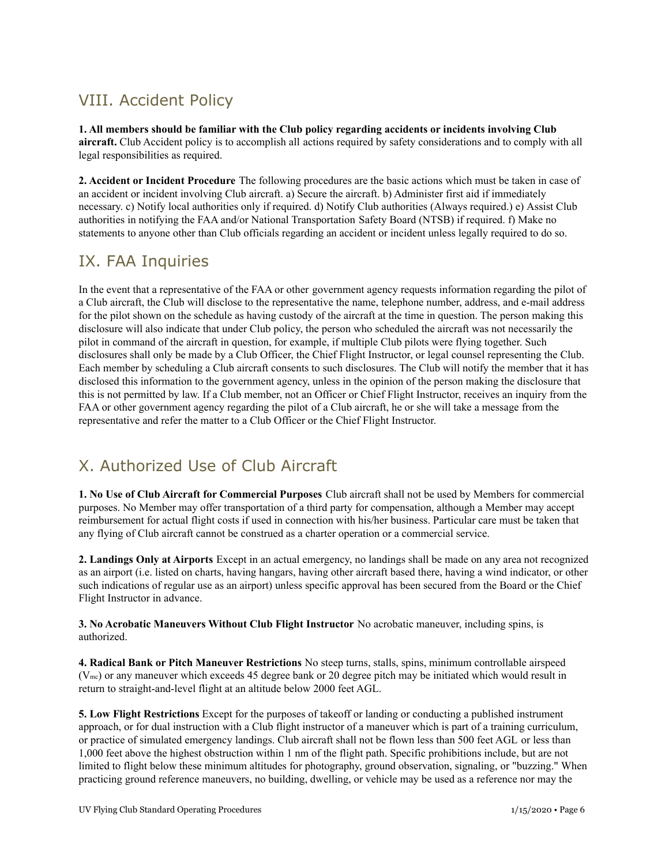# VIII. Accident Policy

**1. All members should be familiar with the Club policy regarding accidents or incidents involving Club aircraft.** Club Accident policy is to accomplish all actions required by safety considerations and to comply with all legal responsibilities as required.

**2. Accident or Incident Procedure** The following procedures are the basic actions which must be taken in case of an accident or incident involving Club aircraft. a) Secure the aircraft. b) Administer first aid if immediately necessary. c) Notify local authorities only if required. d) Notify Club authorities (Always required.) e) Assist Club authorities in notifying the FAA and/or National Transportation Safety Board (NTSB) if required. f) Make no statements to anyone other than Club officials regarding an accident or incident unless legally required to do so.

### IX. FAA Inquiries

In the event that a representative of the FAA or other government agency requests information regarding the pilot of a Club aircraft, the Club will disclose to the representative the name, telephone number, address, and e-mail address for the pilot shown on the schedule as having custody of the aircraft at the time in question. The person making this disclosure will also indicate that under Club policy, the person who scheduled the aircraft was not necessarily the pilot in command of the aircraft in question, for example, if multiple Club pilots were flying together. Such disclosures shall only be made by a Club Officer, the Chief Flight Instructor, or legal counsel representing the Club. Each member by scheduling a Club aircraft consents to such disclosures. The Club will notify the member that it has disclosed this information to the government agency, unless in the opinion of the person making the disclosure that this is not permitted by law. If a Club member, not an Officer or Chief Flight Instructor, receives an inquiry from the FAA or other government agency regarding the pilot of a Club aircraft, he or she will take a message from the representative and refer the matter to a Club Officer or the Chief Flight Instructor.

### X. Authorized Use of Club Aircraft

**1. No Use of Club Aircraft for Commercial Purposes** Club aircraft shall not be used by Members for commercial purposes. No Member may offer transportation of a third party for compensation, although a Member may accept reimbursement for actual flight costs if used in connection with his/her business. Particular care must be taken that any flying of Club aircraft cannot be construed as a charter operation or a commercial service.

**2. Landings Only at Airports** Except in an actual emergency, no landings shall be made on any area not recognized as an airport (i.e. listed on charts, having hangars, having other aircraft based there, having a wind indicator, or other such indications of regular use as an airport) unless specific approval has been secured from the Board or the Chief Flight Instructor in advance.

**3. No Acrobatic Maneuvers Without Club Flight Instructor** No acrobatic maneuver, including spins, is authorized.

**4. Radical Bank or Pitch Maneuver Restrictions** No steep turns, stalls, spins, minimum controllable airspeed (Vmc) or any maneuver which exceeds 45 degree bank or 20 degree pitch may be initiated which would result in return to straight-and-level flight at an altitude below 2000 feet AGL.

**5. Low Flight Restrictions** Except for the purposes of takeoff or landing or conducting a published instrument approach, or for dual instruction with a Club flight instructor of a maneuver which is part of a training curriculum, or practice of simulated emergency landings. Club aircraft shall not be flown less than 500 feet AGL or less than 1,000 feet above the highest obstruction within 1 nm of the flight path. Specific prohibitions include, but are not limited to flight below these minimum altitudes for photography, ground observation, signaling, or "buzzing." When practicing ground reference maneuvers, no building, dwelling, or vehicle may be used as a reference nor may the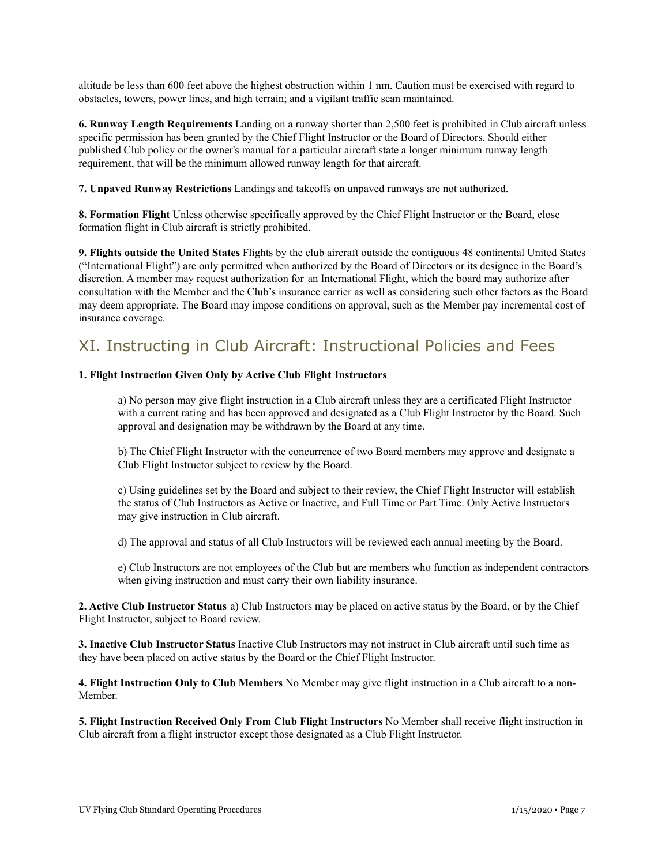altitude be less than 600 feet above the highest obstruction within 1 nm. Caution must be exercised with regard to obstacles, towers, power lines, and high terrain; and a vigilant traffic scan maintained.

**6. Runway Length Requirements** Landing on a runway shorter than 2,500 feet is prohibited in Club aircraft unless specific permission has been granted by the Chief Flight Instructor or the Board of Directors. Should either published Club policy or the owner's manual for a particular aircraft state a longer minimum runway length requirement, that will be the minimum allowed runway length for that aircraft.

**7. Unpaved Runway Restrictions** Landings and takeoffs on unpaved runways are not authorized.

**8. Formation Flight** Unless otherwise specifically approved by the Chief Flight Instructor or the Board, close formation flight in Club aircraft is strictly prohibited.

**9. Flights outside the United States** Flights by the club aircraft outside the contiguous 48 continental United States ("International Flight") are only permitted when authorized by the Board of Directors or its designee in the Board's discretion. A member may request authorization for an International Flight, which the board may authorize after consultation with the Member and the Club's insurance carrier as well as considering such other factors as the Board may deem appropriate. The Board may impose conditions on approval, such as the Member pay incremental cost of insurance coverage.

# XI. Instructing in Club Aircraft: Instructional Policies and Fees

#### **1. Flight Instruction Given Only by Active Club Flight Instructors**

a) No person may give flight instruction in a Club aircraft unless they are a certificated Flight Instructor with a current rating and has been approved and designated as a Club Flight Instructor by the Board. Such approval and designation may be withdrawn by the Board at any time.

b) The Chief Flight Instructor with the concurrence of two Board members may approve and designate a Club Flight Instructor subject to review by the Board.

c) Using guidelines set by the Board and subject to their review, the Chief Flight Instructor will establish the status of Club Instructors as Active or Inactive, and Full Time or Part Time. Only Active Instructors may give instruction in Club aircraft.

d) The approval and status of all Club Instructors will be reviewed each annual meeting by the Board.

e) Club Instructors are not employees of the Club but are members who function as independent contractors when giving instruction and must carry their own liability insurance.

**2. Active Club Instructor Status** a) Club Instructors may be placed on active status by the Board, or by the Chief Flight Instructor, subject to Board review.

**3. Inactive Club Instructor Status** Inactive Club Instructors may not instruct in Club aircraft until such time as they have been placed on active status by the Board or the Chief Flight Instructor.

**4. Flight Instruction Only to Club Members** No Member may give flight instruction in a Club aircraft to a non-Member.

**5. Flight Instruction Received Only From Club Flight Instructors** No Member shall receive flight instruction in Club aircraft from a flight instructor except those designated as a Club Flight Instructor.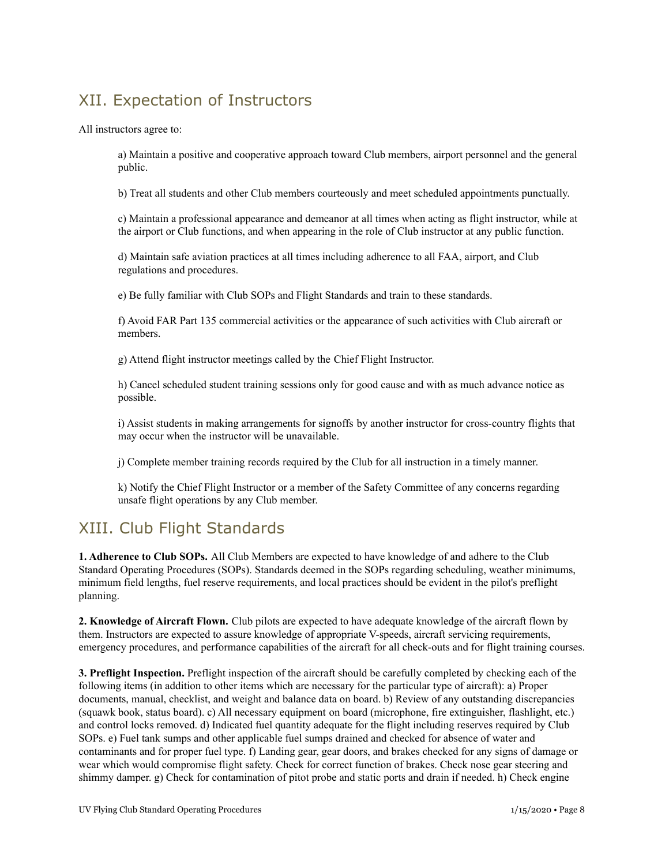# XII. Expectation of Instructors

All instructors agree to:

a) Maintain a positive and cooperative approach toward Club members, airport personnel and the general public.

b) Treat all students and other Club members courteously and meet scheduled appointments punctually.

c) Maintain a professional appearance and demeanor at all times when acting as flight instructor, while at the airport or Club functions, and when appearing in the role of Club instructor at any public function.

d) Maintain safe aviation practices at all times including adherence to all FAA, airport, and Club regulations and procedures.

e) Be fully familiar with Club SOPs and Flight Standards and train to these standards.

f) Avoid FAR Part 135 commercial activities or the appearance of such activities with Club aircraft or members.

g) Attend flight instructor meetings called by the Chief Flight Instructor.

h) Cancel scheduled student training sessions only for good cause and with as much advance notice as possible.

i) Assist students in making arrangements for signoffs by another instructor for cross-country flights that may occur when the instructor will be unavailable.

j) Complete member training records required by the Club for all instruction in a timely manner.

k) Notify the Chief Flight Instructor or a member of the Safety Committee of any concerns regarding unsafe flight operations by any Club member.

### XIII. Club Flight Standards

**1. Adherence to Club SOPs.** All Club Members are expected to have knowledge of and adhere to the Club Standard Operating Procedures (SOPs). Standards deemed in the SOPs regarding scheduling, weather minimums, minimum field lengths, fuel reserve requirements, and local practices should be evident in the pilot's preflight planning.

**2. Knowledge of Aircraft Flown.** Club pilots are expected to have adequate knowledge of the aircraft flown by them. Instructors are expected to assure knowledge of appropriate V-speeds, aircraft servicing requirements, emergency procedures, and performance capabilities of the aircraft for all check-outs and for flight training courses.

**3. Preflight Inspection.** Preflight inspection of the aircraft should be carefully completed by checking each of the following items (in addition to other items which are necessary for the particular type of aircraft): a) Proper documents, manual, checklist, and weight and balance data on board. b) Review of any outstanding discrepancies (squawk book, status board). c) All necessary equipment on board (microphone, fire extinguisher, flashlight, etc.) and control locks removed. d) Indicated fuel quantity adequate for the flight including reserves required by Club SOPs. e) Fuel tank sumps and other applicable fuel sumps drained and checked for absence of water and contaminants and for proper fuel type. f) Landing gear, gear doors, and brakes checked for any signs of damage or wear which would compromise flight safety. Check for correct function of brakes. Check nose gear steering and shimmy damper. g) Check for contamination of pitot probe and static ports and drain if needed. h) Check engine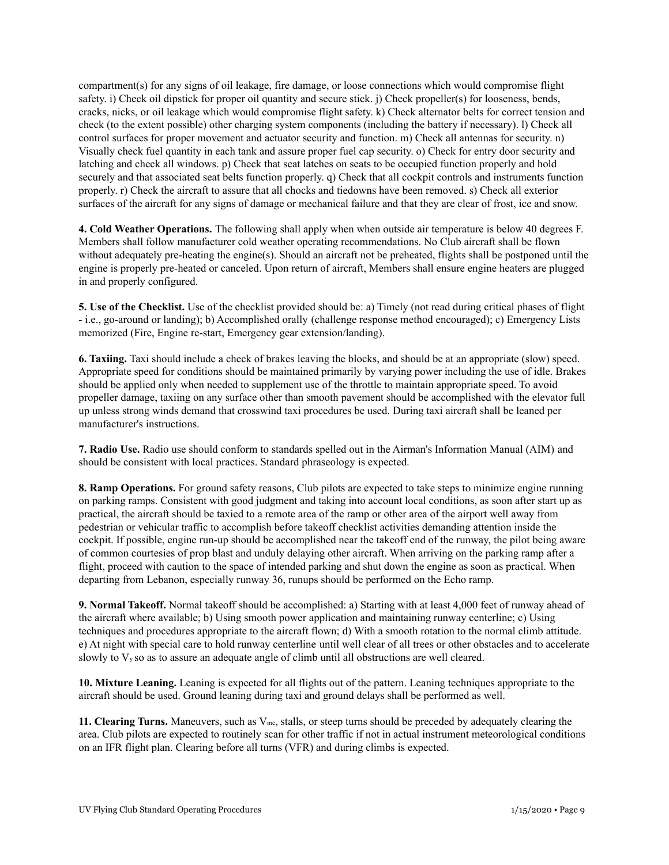compartment(s) for any signs of oil leakage, fire damage, or loose connections which would compromise flight safety. i) Check oil dipstick for proper oil quantity and secure stick. j) Check propeller(s) for looseness, bends, cracks, nicks, or oil leakage which would compromise flight safety. k) Check alternator belts for correct tension and check (to the extent possible) other charging system components (including the battery if necessary). l) Check all control surfaces for proper movement and actuator security and function. m) Check all antennas for security. n) Visually check fuel quantity in each tank and assure proper fuel cap security. o) Check for entry door security and latching and check all windows. p) Check that seat latches on seats to be occupied function properly and hold securely and that associated seat belts function properly. q) Check that all cockpit controls and instruments function properly. r) Check the aircraft to assure that all chocks and tiedowns have been removed. s) Check all exterior surfaces of the aircraft for any signs of damage or mechanical failure and that they are clear of frost, ice and snow.

**4. Cold Weather Operations.** The following shall apply when when outside air temperature is below 40 degrees F. Members shall follow manufacturer cold weather operating recommendations. No Club aircraft shall be flown without adequately pre-heating the engine(s). Should an aircraft not be preheated, flights shall be postponed until the engine is properly pre-heated or canceled. Upon return of aircraft, Members shall ensure engine heaters are plugged in and properly configured.

**5. Use of the Checklist.** Use of the checklist provided should be: a) Timely (not read during critical phases of flight - i.e., go-around or landing); b) Accomplished orally (challenge response method encouraged); c) Emergency Lists memorized (Fire, Engine re-start, Emergency gear extension/landing).

**6. Taxiing.** Taxi should include a check of brakes leaving the blocks, and should be at an appropriate (slow) speed. Appropriate speed for conditions should be maintained primarily by varying power including the use of idle. Brakes should be applied only when needed to supplement use of the throttle to maintain appropriate speed. To avoid propeller damage, taxiing on any surface other than smooth pavement should be accomplished with the elevator full up unless strong winds demand that crosswind taxi procedures be used. During taxi aircraft shall be leaned per manufacturer's instructions.

**7. Radio Use.** Radio use should conform to standards spelled out in the Airman's Information Manual (AIM) and should be consistent with local practices. Standard phraseology is expected.

**8. Ramp Operations.** For ground safety reasons, Club pilots are expected to take steps to minimize engine running on parking ramps. Consistent with good judgment and taking into account local conditions, as soon after start up as practical, the aircraft should be taxied to a remote area of the ramp or other area of the airport well away from pedestrian or vehicular traffic to accomplish before takeoff checklist activities demanding attention inside the cockpit. If possible, engine run-up should be accomplished near the takeoff end of the runway, the pilot being aware of common courtesies of prop blast and unduly delaying other aircraft. When arriving on the parking ramp after a flight, proceed with caution to the space of intended parking and shut down the engine as soon as practical. When departing from Lebanon, especially runway 36, runups should be performed on the Echo ramp.

**9. Normal Takeoff.** Normal takeoff should be accomplished: a) Starting with at least 4,000 feet of runway ahead of the aircraft where available; b) Using smooth power application and maintaining runway centerline; c) Using techniques and procedures appropriate to the aircraft flown; d) With a smooth rotation to the normal climb attitude. e) At night with special care to hold runway centerline until well clear of all trees or other obstacles and to accelerate slowly to  $V_y$  so as to assure an adequate angle of climb until all obstructions are well cleared.

**10. Mixture Leaning.** Leaning is expected for all flights out of the pattern. Leaning techniques appropriate to the aircraft should be used. Ground leaning during taxi and ground delays shall be performed as well.

**11. Clearing Turns.** Maneuvers, such as Vmc, stalls, or steep turns should be preceded by adequately clearing the area. Club pilots are expected to routinely scan for other traffic if not in actual instrument meteorological conditions on an IFR flight plan. Clearing before all turns (VFR) and during climbs is expected.